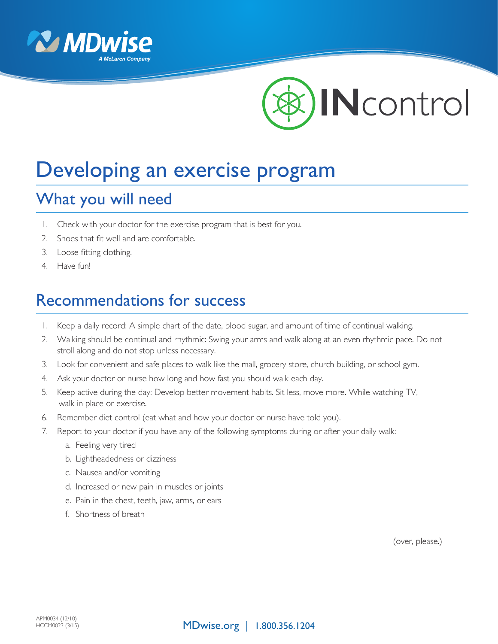



# Developing an exercise program

## What you will need

- 1. Check with your doctor for the exercise program that is best for you.
- 2. Shoes that fit well and are comfortable.
- 3. Loose fitting clothing.
- 4. Have fun!

#### Recommendations for success

- 1. Keep a daily record: A simple chart of the date, blood sugar, and amount of time of continual walking.
- 2. Walking should be continual and rhythmic: Swing your arms and walk along at an even rhythmic pace. Do not stroll along and do not stop unless necessary.
- 3. Look for convenient and safe places to walk like the mall, grocery store, church building, or school gym.
- 4. Ask your doctor or nurse how long and how fast you should walk each day.
- 5. Keep active during the day: Develop better movement habits. Sit less, move more. While watching TV, walk in place or exercise.
- 6. Remember diet control (eat what and how your doctor or nurse have told you).
- 7. Report to your doctor if you have any of the following symptoms during or after your daily walk:
	- a. Feeling very tired
	- b. Lightheadedness or dizziness
	- c. Nausea and/or vomiting
	- d. Increased or new pain in muscles or joints
	- e. Pain in the chest, teeth, jaw, arms, or ears
	- f. Shortness of breath

(over, please.)